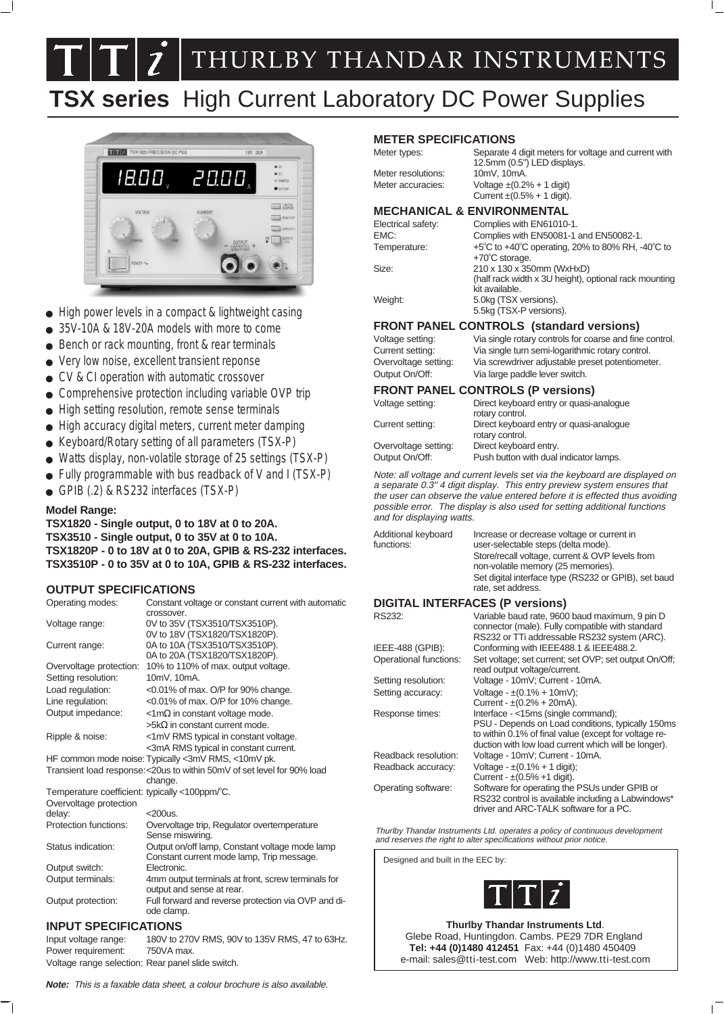**7** THURLBY THANDAR INSTRUMENTS

# **TSX series** High Current Laboratory DC Power Supplies



- $\bullet$  High power levels in a compact & lightweight casing
- 35V-10A & 18V-20A models with more to come
- Bench or rack mounting, front & rear terminals
- Very low noise, excellent transient reponse
- CV & CI operation with automatic crossover
- Comprehensive protection including variable OVP trip
- High setting resolution, remote sense terminals
- High accuracy digital meters, current meter damping
- Keyboard/Rotary setting of all parameters (TSX-P)
- Watts display, non-volatile storage of 25 settings (TSX-P)
- Fully programmable with bus readback of V and I (TSX-P)
- GPIB (.2) & RS232 interfaces (TSX-P)

#### **Model Range:**

#### **TSX1820 - Single output, 0 to 18V at 0 to 20A. TSX3510 - Single output, 0 to 35V at 0 to 10A. TSX1820P - 0 to 18V at 0 to 20A, GPIB & RS-232 interfaces. TSX3510P - 0 to 35V at 0 to 10A, GPIB & RS-232 interfaces.**

#### **OUTPUT SPECIFICATIONS**

| Operating modes:                               | Constant voltage or constant current with automatic<br>crossover.        |
|------------------------------------------------|--------------------------------------------------------------------------|
|                                                |                                                                          |
| Voltage range:                                 | 0V to 35V (TSX3510/TSX3510P).<br>0V to 18V (TSX1820/TSX1820P).           |
|                                                |                                                                          |
| Current range:                                 | 0A to 10A (TSX3510/TSX3510P).                                            |
|                                                | 0A to 20A (TSX1820/TSX1820P).                                            |
| Overvoltage protection:                        | 10% to 110% of max. output voltage.                                      |
| Setting resolution:                            | 10mV, 10mA.                                                              |
| Load regulation:                               | <0.01% of max. O/P for 90% change.                                       |
| Line regulation:                               | $<$ 0.01% of max. O/P for 10% change.                                    |
| Output impedance:                              | $\leq 1 \text{m}\Omega$ in constant voltage mode.                        |
|                                                | $>$ 5kΩ in constant current mode.                                        |
| Ripple & noise:                                | <1mV RMS typical in constant voltage.                                    |
|                                                | <3mA RMS typical in constant current.                                    |
|                                                | HF common mode noise: Typically <3mV RMS, <10mV pk.                      |
|                                                | Transient load response: < 20us to within 50mV of set level for 90% load |
|                                                | change.                                                                  |
| Temperature coefficient: typically <100ppm/°C. |                                                                          |
| Overvoltage protection                         |                                                                          |
| delay:                                         | $<$ 200 $us$ .                                                           |
| Protection functions:                          | Overvoltage trip, Regulator overtemperature                              |
|                                                | Sense miswiring.                                                         |
| Status indication:                             | Output on/off lamp, Constant voltage mode lamp                           |
|                                                | Constant current mode lamp, Trip message.                                |
| Output switch:                                 | Electronic.                                                              |
| Output terminals:                              | 4mm output terminals at front, screw terminals for                       |
|                                                | output and sense at rear.                                                |
| Output protection:                             | Full forward and reverse protection via OVP and di-                      |
|                                                | ode clamp.                                                               |
| INDI IT ODEOIFIO ATIONO                        |                                                                          |

## **INPUT SPECIFICATIONS**

Input voltage range: 180V to 270V RMS, 90V to 135V RMS, 47 to 63Hz. Power requirement: 750VA max. Voltage range selection: Rear panel slide switch.

**Note:** This is <sup>a</sup> faxable data sheet, <sup>a</sup> colour brochure is also available.

#### **METER SPECIFICATIONS**

| Meter types:                          | Separate 4 digit meters for voltage and current with<br>12.5mm (0.5") LED displays.  |
|---------------------------------------|--------------------------------------------------------------------------------------|
| Meter resolutions:                    | 10mV, 10mA.                                                                          |
| Meter accuracies:                     | Voltage $\pm (0.2\% + 1 \text{ digit})$<br>Current $\pm (0.5\% + 1 \text{ digit})$ . |
| <b>MECHANICAL &amp; ENVIRONMENTAL</b> |                                                                                      |

| Electrical safety: | Complies with EN61010-1.                                                                                    |
|--------------------|-------------------------------------------------------------------------------------------------------------|
| EMC:               | Complies with EN50081-1 and EN50082-1.                                                                      |
| Temperature:       | $+5^{\circ}$ C to $+40^{\circ}$ C operating, 20% to 80% RH, -40 $^{\circ}$ C to<br>$+70^{\circ}$ C storage. |
| Size:              | 210 x 130 x 350mm (WxHxD)<br>(half rack width x 3U height), optional rack mounting<br>kit available.        |
| Weight:            | 5.0kg (TSX versions).<br>5.5kg (TSX-P versions).                                                            |

**FRONT PANEL CONTROLS (standard versions)**

| $\blacksquare$       |                                                         |  |
|----------------------|---------------------------------------------------------|--|
| Voltage setting:     | Via single rotary controls for coarse and fine control. |  |
| Current setting:     | Via single turn semi-logarithmic rotary control.        |  |
| Overvoltage setting: | Via screwdriver adjustable preset potentiometer.        |  |
| Output On/Off:       | Via large paddle lever switch.                          |  |

#### **FRONT PANEL CONTROLS (P versions)**

| Voltage setting:     | Direct keyboard entry or quasi-analogue<br>rotary control. |
|----------------------|------------------------------------------------------------|
| Current setting:     | Direct keyboard entry or quasi-analogue<br>rotary control. |
| Overvoltage setting: | Direct keyboard entry.                                     |
| Output On/Off:       | Push button with dual indicator lamps.                     |

Note: all voltage and current levels set via the keyboard are displayed on a separate 0.3" 4 digit display. This entry preview system ensures that the user can observe the value entered before it is effected thus avoiding possible error. The display is also used for setting additional functions and for displaying watts.

| Additional keyboard<br>functions: | Increase or decrease voltage or current in<br>user-selectable steps (delta mode).<br>Store/recall voltage, current & OVP levels from<br>non-volatile memory (25 memories).<br>Set digital interface type (RS232 or GPIB), set baud<br>rate, set address. |
|-----------------------------------|----------------------------------------------------------------------------------------------------------------------------------------------------------------------------------------------------------------------------------------------------------|
|                                   | DICITAL INTEDEACES (D. vorpional                                                                                                                                                                                                                         |

#### **DIGITAL INTERFACES (P versions)**

| RS232:                 | Variable baud rate, 9600 baud maximum, 9 pin D<br>connector (male). Fully compatible with standard                                                                                                        |
|------------------------|-----------------------------------------------------------------------------------------------------------------------------------------------------------------------------------------------------------|
|                        | RS232 or TTi addressable RS232 system (ARC).                                                                                                                                                              |
| IEEE-488 (GPIB):       | Conforming with IEEE488.1 & IEEE488.2.                                                                                                                                                                    |
| Operational functions: | Set voltage; set current; set OVP; set output On/Off;<br>read output voltage/current.                                                                                                                     |
| Setting resolution:    | Voltage - 10mV; Current - 10mA.                                                                                                                                                                           |
| Setting accuracy:      | Voltage - $\pm (0.1\% + 10mV)$ ;<br>Current - $\pm (0.2\% + 20 \text{mA})$ .                                                                                                                              |
| Response times:        | Interface - <15ms (single command);<br>PSU - Depends on Load conditions, typically 150ms<br>to within 0.1% of final value (except for voltage re-<br>duction with low load current which will be longer). |
| Readback resolution:   | Voltage - 10mV; Current - 10mA.                                                                                                                                                                           |
| Readback accuracy:     | Voltage - $\pm (0.1\% + 1 \text{ digit})$ ;<br>Current - $\pm (0.5\% + 1)$ digit).                                                                                                                        |
| Operating software:    | Software for operating the PSUs under GPIB or<br>RS232 control is available including a Labwindows*<br>driver and ARC-TALK software for a PC.                                                             |

Thurlby Thandar Instruments Ltd. operates a policy of continuous development and reserves the right to alter specifications without prior notice.

Designed and built in the EEC by:



**Thurlby Thandar Instruments Ltd**. Glebe Road, Huntingdon. Cambs. PE29 7DR England **Tel: +44 (0)1480 412451** Fax: +44 (0)1480 450409 e-mail: sales@tti-test.com Web: http://www.tti-test.com